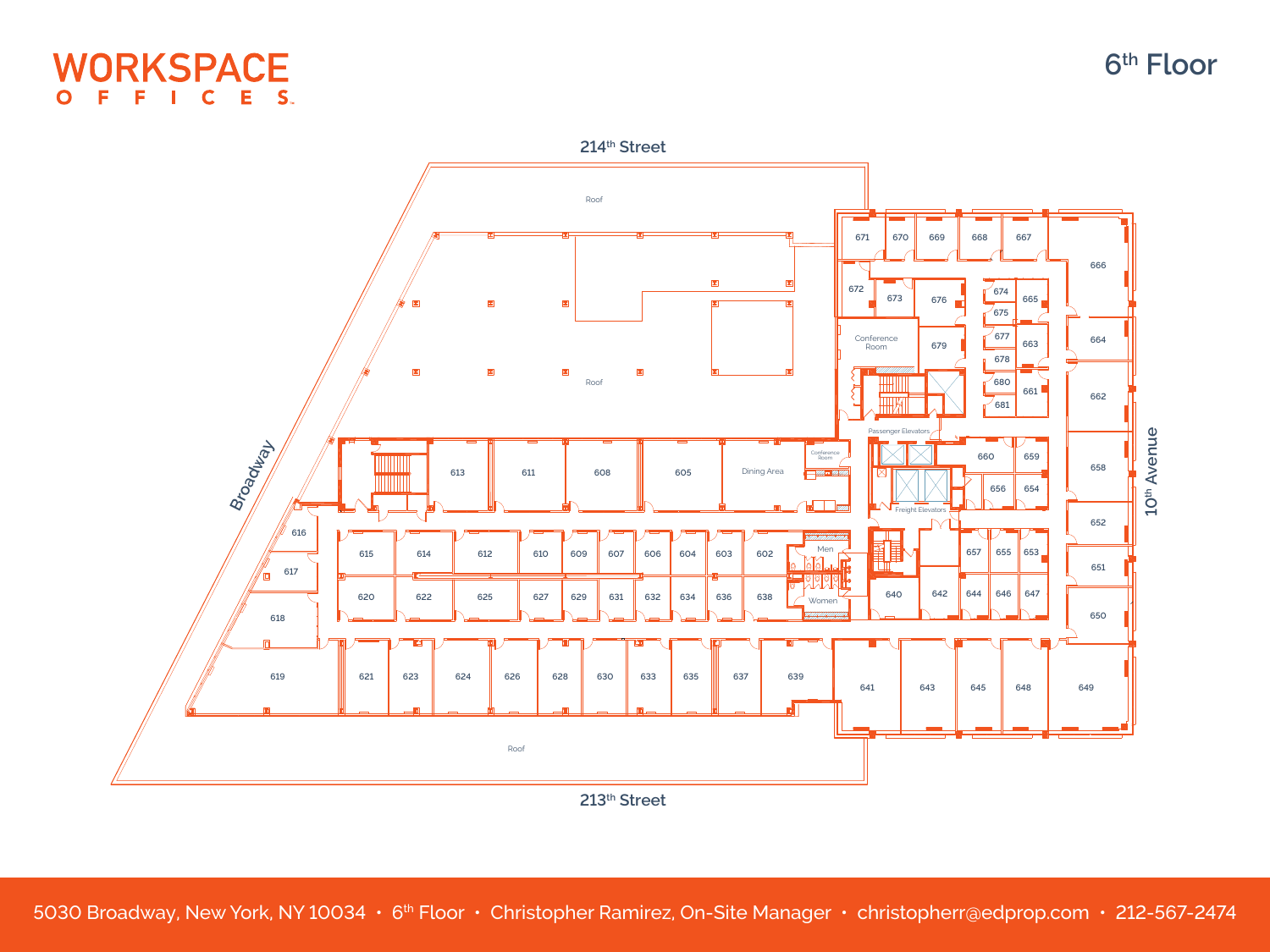

**Broadly** 

/ o

**16**



**41 643 645 648 649**

**th Street** 

**19 621 623 624 626 628 630 633 635 637 639**

Roof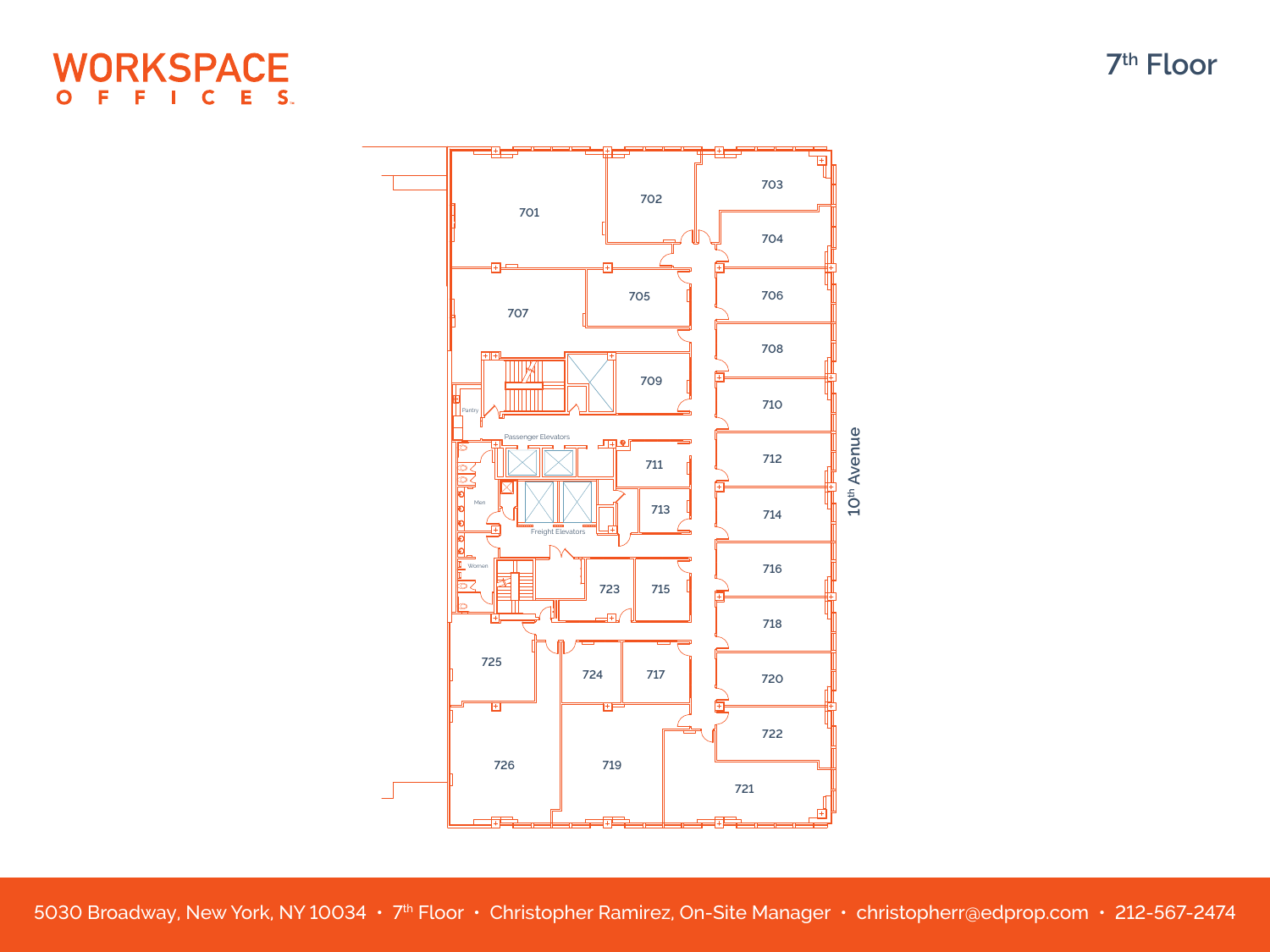## **WORKSPACE** E S.  $\mathbf C$  $\mathbf O$



5030 Broadway, New York, NY 10034 • 7th Floor • Christopher Ramirez, On-Site Manager • [christopherr@edprop.com](mailto:christopherr@edprop.com) • 212-567-2474

**th Floor**